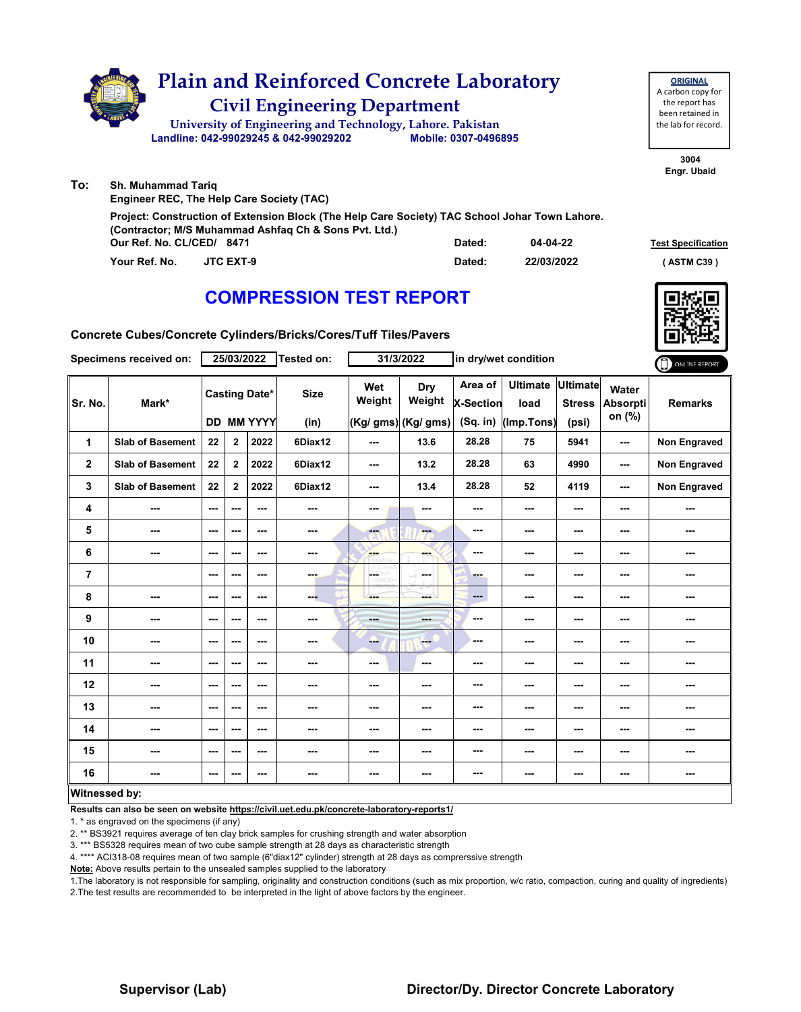|     |               |                           | <b>Plain and Reinforced Concrete Laboratory</b><br><b>Civil Engineering Department</b><br>University of Engineering and Technology, Lahore. Pakistan<br>Landline: 042-99029245 & 042-99029202 | Mobile: 0307-0496895 |            | <b>ORIGINAL</b><br>A carbon copy for<br>the report has<br>been retained in<br>the lab for record. |
|-----|---------------|---------------------------|-----------------------------------------------------------------------------------------------------------------------------------------------------------------------------------------------|----------------------|------------|---------------------------------------------------------------------------------------------------|
| To: |               | <b>Sh. Muhammad Tarig</b> | <b>Engineer REC, The Help Care Society (TAC)</b>                                                                                                                                              |                      |            | 3004<br>Engr. Ubaid                                                                               |
|     |               |                           | Project: Construction of Extension Block (The Help Care Society) TAC School Johar Town Lahore.<br>(Contractor; M/S Muhammad Ashfaq Ch & Sons Pvt. Ltd.)<br>Our Ref. No. CL/CED/ 8471          | Dated:               | 04-04-22   | <b>Test Specification</b>                                                                         |
|     | Your Ref. No. |                           | <b>JTC EXT-9</b>                                                                                                                                                                              | Dated:               | 22/03/2022 | ASTM C39)                                                                                         |

# **Your Ref. No. JTC EXT-9 Dated: ( ASTM C39 )**

### **COMPRESSION TEST REPORT**

**Concrete Cubes/Concrete Cylinders/Bricks/Cores/Tuff Tiles/Pavers**

|                | Specimens received on:  |         |                | 25/03/2022 | Tested on:                                |                          | 31/3/2022      | in dry/wet condition   |     |                          |                     | ONLINE REPORT       |                                      |                                           |                                       |                                           |                                    |                |
|----------------|-------------------------|---------|----------------|------------|-------------------------------------------|--------------------------|----------------|------------------------|-----|--------------------------|---------------------|---------------------|--------------------------------------|-------------------------------------------|---------------------------------------|-------------------------------------------|------------------------------------|----------------|
| Sr. No.        | Mark*                   |         |                |            | <b>Casting Date*</b><br><b>DD MM YYYY</b> |                          |                |                        |     |                          | <b>Size</b><br>(in) | Wet<br>Weight       | Dry<br>Weight<br>(Kg/ gms) (Kg/ gms) | Area of<br><b>X-Section</b><br>$(Sq.$ in) | <b>Ultimate</b><br>load<br>(Imp.Tons) | <b>Ultimate</b><br><b>Stress</b><br>(psi) | Water<br><b>Absorpti</b><br>on (%) | <b>Remarks</b> |
| 1              | <b>Slab of Basement</b> | 22      | $\overline{2}$ | 2022       | 6Diax12                                   | ---                      | 13.6           | 28.28                  | 75  | 5941                     | ---                 | Non Engraved        |                                      |                                           |                                       |                                           |                                    |                |
| $\mathbf{2}$   | <b>Slab of Basement</b> | 22      | $\mathbf{2}$   | 2022       | 6Diax12                                   | $\overline{\phantom{a}}$ | 13.2           | 28.28                  | 63  | 4990                     | ---                 | <b>Non Engraved</b> |                                      |                                           |                                       |                                           |                                    |                |
| 3              | <b>Slab of Basement</b> | 22      | $\mathbf{2}$   | 2022       | 6Diax12                                   | $\overline{\phantom{a}}$ | 13.4           | 28.28                  | 52  | 4119                     | ---                 | Non Engraved        |                                      |                                           |                                       |                                           |                                    |                |
| 4              | ---                     | $--$    | $--$           | $--$       | ---                                       | ---                      | ---            | ---                    | --- | $--$                     | ---                 | ---                 |                                      |                                           |                                       |                                           |                                    |                |
| 5              | ---                     | ---     | $--$           | $--$       | ---                                       | $\overline{\mathbf{a}}$  | ---            | ---                    | --- | $--$                     | ---                 | ---                 |                                      |                                           |                                       |                                           |                                    |                |
| 6              | ---                     | ---     | ---            | ---        | ---                                       | <b>SHOP</b>              | ---            | ---                    | --- | ---                      | ---                 |                     |                                      |                                           |                                       |                                           |                                    |                |
| $\overline{7}$ |                         | ---     | ---            | ---        | ---                                       | <b>AST</b>               | <b>Service</b> | ---                    | --- | ---                      | ---                 | ---                 |                                      |                                           |                                       |                                           |                                    |                |
| 8              | ---                     | $--$    | $--$           | $--$       | ---                                       | ---                      | ---            | $\qquad \qquad \cdots$ | --- | $\overline{\phantom{a}}$ | ---                 |                     |                                      |                                           |                                       |                                           |                                    |                |
| 9              | ---                     | $--$    | ---            | $--$       | ---                                       | ---                      | ---            | ---                    | --- | ---                      | ---                 |                     |                                      |                                           |                                       |                                           |                                    |                |
| 10             | ---                     | $--$    | ---            | $--$       | ---                                       | -                        | $-$            | ---                    | --- | ---                      | ---                 |                     |                                      |                                           |                                       |                                           |                                    |                |
| 11             | ---                     | $- - -$ | ---            | $- - -$    | ---                                       | $\sim$ $\sim$            | ---            | ---                    | --- | $\sim$ $\sim$            | ---                 | ---                 |                                      |                                           |                                       |                                           |                                    |                |
| 12             | ---                     | ---     | ---            | ---        | ---                                       | ---                      | ---            | ---                    | --- | ---                      | ---                 | ---                 |                                      |                                           |                                       |                                           |                                    |                |
| 13             | ---                     | ---     | ---            | ---        | ---                                       | ---                      | ---            | ---                    | --- | ---                      | ---                 |                     |                                      |                                           |                                       |                                           |                                    |                |
| 14             | ---                     | $- - -$ | ---            | $- - -$    | ---                                       | ---                      | ---            | ---                    | --- | $\sim$ $\sim$            | ---                 | ---                 |                                      |                                           |                                       |                                           |                                    |                |
| 15             | ---                     | ---     | $--$           | $--$       | ---                                       | ---                      | ---            | ---                    | --- | ---                      | ---                 | ---                 |                                      |                                           |                                       |                                           |                                    |                |
| 16             | ---                     | ---     | ---            | ---        | ---                                       | ---                      | ---            | ---                    | --- | ---                      | ---                 | ---                 |                                      |                                           |                                       |                                           |                                    |                |
|                | Witnessed by:           |         |                |            |                                           |                          |                |                        |     |                          |                     |                     |                                      |                                           |                                       |                                           |                                    |                |

#### **Witnessed by:**

**Results can also be seen on website https://civil.uet.edu.pk/concrete-laboratory-reports1/**

1. \* as engraved on the specimens (if any)

2. \*\* BS3921 requires average of ten clay brick samples for crushing strength and water absorption

3. \*\*\* BS5328 requires mean of two cube sample strength at 28 days as characteristic strength

4. \*\*\*\* ACI318-08 requires mean of two sample (6"diax12" cylinder) strength at 28 days as comprerssive strength

**Note:** Above results pertain to the unsealed samples supplied to the laboratory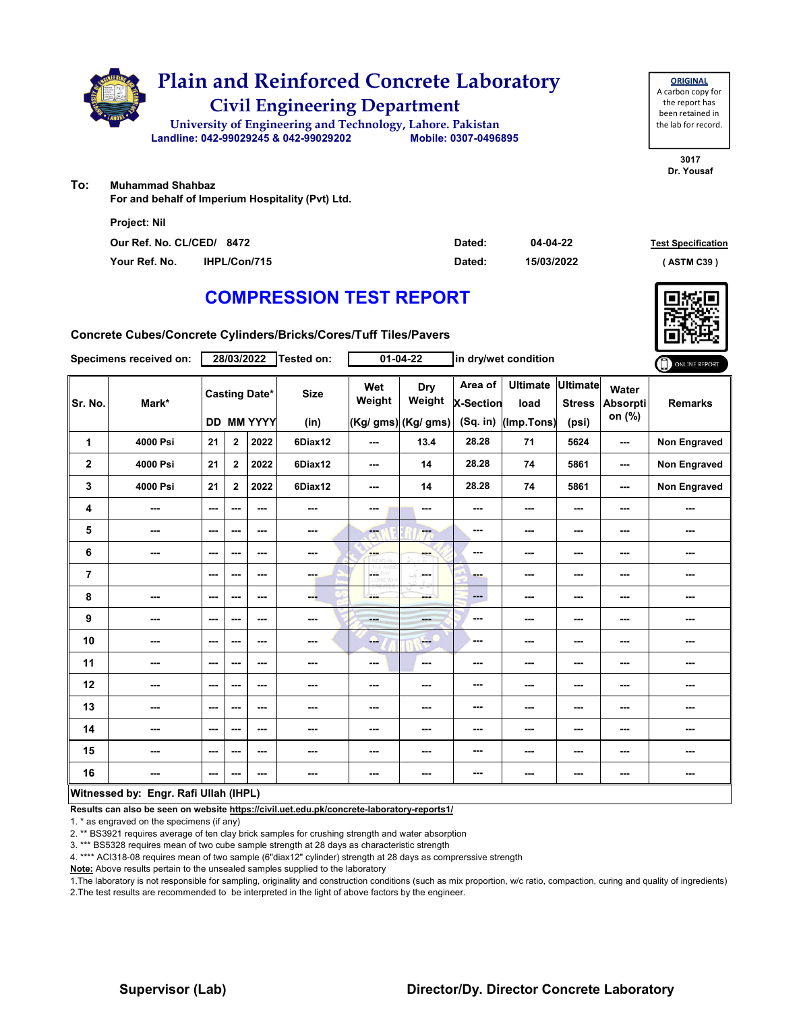

**ORIGINAL**

**To: Muhammad Shahbaz**

**For and behalf of Imperium Hospitality (Pvt) Ltd.**

| <b>Project: Nil</b>       |                     |        |            |                           |
|---------------------------|---------------------|--------|------------|---------------------------|
| Our Ref. No. CL/CED/ 8472 |                     | Dated: | 04-04-22   | <b>Test Specification</b> |
| Your Ref. No.             | <b>IHPL/Con/715</b> | Dated: | 15/03/2022 | (ASTM C39)                |

## **COMPRESSION TEST REPORT**

**Concrete Cubes/Concrete Cylinders/Bricks/Cores/Tuff Tiles/Pavers**

|                | Specimens received on:                |                          | 28/03/2022              |                                           | Tested on:          |               | $01 - 04 - 22$                              |                                         | in dry/wet condition                  |                                           |                                    | ONLINE REPORT       |
|----------------|---------------------------------------|--------------------------|-------------------------|-------------------------------------------|---------------------|---------------|---------------------------------------------|-----------------------------------------|---------------------------------------|-------------------------------------------|------------------------------------|---------------------|
| Sr. No.        | Mark*                                 |                          |                         | <b>Casting Date*</b><br><b>DD MM YYYY</b> | <b>Size</b><br>(in) | Wet<br>Weight | <b>Dry</b><br>Weight<br>(Kg/ gms) (Kg/ gms) | Area of<br><b>X-Section</b><br>(Sq. in) | <b>Ultimate</b><br>load<br>(Imp.Tons) | <b>Ultimate</b><br><b>Stress</b><br>(psi) | Water<br><b>Absorpti</b><br>on (%) | <b>Remarks</b>      |
| 1              | 4000 Psi                              | 21                       | $\mathbf{2}$            | 2022                                      | 6Diax12             | ---           | 13.4                                        | 28.28                                   | 71                                    | 5624                                      | ---                                | <b>Non Engraved</b> |
| $\mathbf 2$    | 4000 Psi                              | 21                       | $\overline{\mathbf{2}}$ | 2022                                      | 6Diax12             | ---           | 14                                          | 28.28                                   | 74                                    | 5861                                      | ---                                | <b>Non Engraved</b> |
| 3              | 4000 Psi                              | 21                       | $\mathbf{2}$            | 2022                                      | 6Diax12             | ---           | 14                                          | 28.28                                   | 74                                    | 5861                                      | ---                                | <b>Non Engraved</b> |
| 4              | ---                                   | $\overline{\phantom{a}}$ | ---                     | $\sim$ $\sim$                             | ---                 | ---           | ---                                         | ---                                     | ---                                   | ---                                       |                                    | ---                 |
| 5              | $\sim$                                | $--$                     | ---                     | $\sim$ $\sim$                             | ---                 | FT.           | ---                                         | $\sim$                                  | ---                                   | ---                                       | ---                                | ---                 |
| 6              | ---                                   | $\overline{\phantom{a}}$ | ---                     | $- - -$                                   | $\sim$              | ---           | ---                                         | ---                                     | ---                                   | ---                                       | ---                                | ---                 |
| $\overline{7}$ |                                       | $\overline{\phantom{a}}$ | ---                     | $\sim$ $\sim$                             | $-1$                | ÷<br>D.Wro    | and a<br>-S                                 | ---                                     | ---                                   | ---                                       | ---                                | ---                 |
| 8              | ---                                   | ---                      | ---                     | ---                                       | ---                 | ---           | mente di                                    | $\qquad \qquad \cdots$                  | ---                                   | ---                                       |                                    | ---                 |
| 9              | ---                                   | $\sim$                   | ---                     | $\overline{\phantom{a}}$                  | ---                 | ---           | ---                                         | $-$                                     | ---                                   | ---                                       | ---                                | ---                 |
| 10             | $- - -$                               | $\sim$ $\sim$            | ---                     | $\sim$ $\sim$                             | ---                 | --            | <b>Free</b>                                 | ---                                     | ---                                   | ---                                       | ---                                | ---                 |
| 11             | $\overline{\phantom{a}}$              | $--$                     | ---                     | ---                                       | ---                 | ---           | $\overline{\phantom{a}}$                    | ---                                     | ---                                   | ---                                       |                                    | ---                 |
| 12             | ---                                   | ---                      | ---                     | $\overline{\phantom{a}}$                  | ---                 | ---           | ---                                         | ---                                     | ---                                   | ---                                       | ---                                | ---                 |
| 13             | ---                                   | ---                      | ---                     | ---                                       | ---                 | ---           | ---                                         | ---                                     | ---                                   | ---                                       | ---                                | ---                 |
| 14             | ---                                   | $\sim$ $\sim$            | ---                     | $\sim$ $\sim$                             | $\sim$ $\sim$       | ---           | ---                                         | ---                                     | ---                                   | ---                                       | ---                                | ---                 |
| 15             | ---                                   | $--$                     | ---                     | $\overline{\phantom{a}}$                  | $\sim$              | ---           | ---                                         | ---                                     | ---                                   | ---                                       |                                    | ---                 |
| 16             | $- - -$                               | $--$                     | ---                     | $- - -$                                   | $\sim$              | ---           | ---                                         | ---                                     | ---                                   | ---                                       | ---                                | ---                 |
|                | Witnessed by: Engr. Rafi Ullah (IHPL) |                          |                         |                                           |                     |               |                                             |                                         |                                       |                                           |                                    |                     |

**Results can also be seen on website https://civil.uet.edu.pk/concrete-laboratory-reports1/**

1. \* as engraved on the specimens (if any)

2. \*\* BS3921 requires average of ten clay brick samples for crushing strength and water absorption

3. \*\*\* BS5328 requires mean of two cube sample strength at 28 days as characteristic strength

4. \*\*\*\* ACI318-08 requires mean of two sample (6"diax12" cylinder) strength at 28 days as comprerssive strength

**Note:** Above results pertain to the unsealed samples supplied to the laboratory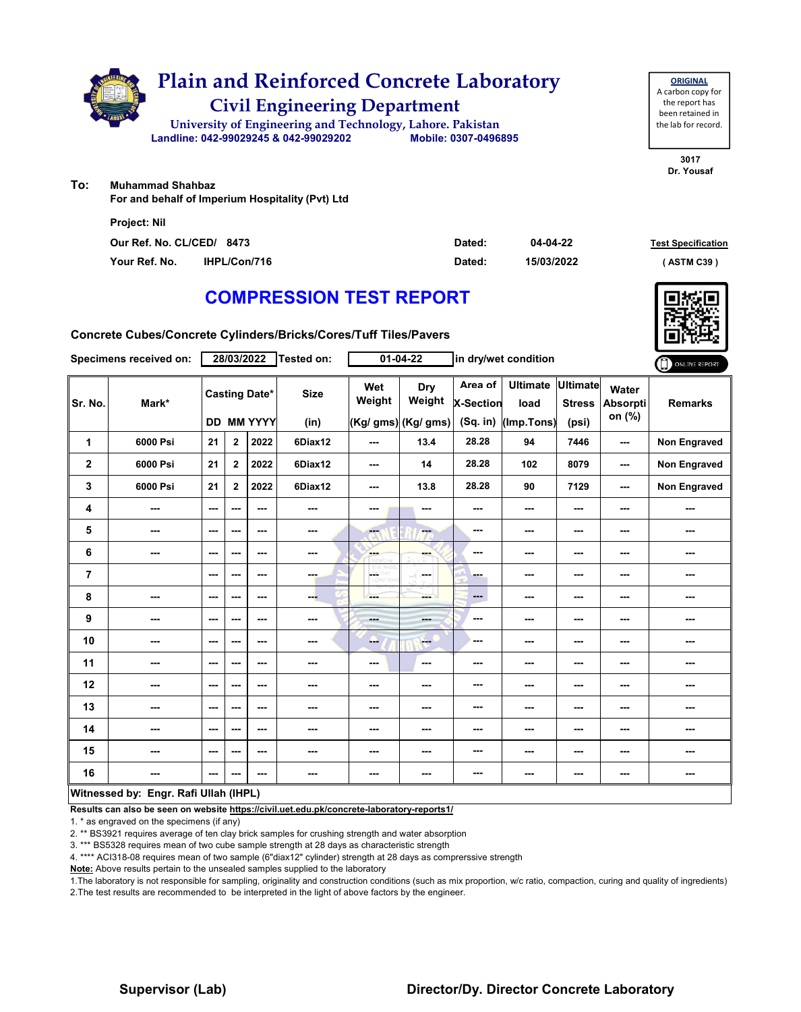

**ORIGINAL**

**To: Muhammad Shahbaz**

**For and behalf of Imperium Hospitality (Pvt) Ltd**

| <b>Project: Nil</b>       |              |        |            |                           |
|---------------------------|--------------|--------|------------|---------------------------|
| Our Ref. No. CL/CED/ 8473 |              | Dated: | 04-04-22   | <b>Test Specification</b> |
| Your Ref. No.             | IHPL/Con/716 | Dated: | 15/03/2022 | (ASTM C39)                |

## **COMPRESSION TEST REPORT**

**Concrete Cubes/Concrete Cylinders/Bricks/Cores/Tuff Tiles/Pavers**

|                                       | Specimens received on: |                          | 28/03/2022   |                                    | Tested on:          |               | 01-04-22                             |                                         | in dry/wet condition                  |                                           |                             | ONLINE REPORT       |
|---------------------------------------|------------------------|--------------------------|--------------|------------------------------------|---------------------|---------------|--------------------------------------|-----------------------------------------|---------------------------------------|-------------------------------------------|-----------------------------|---------------------|
| Sr. No.                               | Mark*                  |                          |              | <b>Casting Date*</b><br>DD MM YYYY | <b>Size</b><br>(in) | Wet<br>Weight | Dry<br>Weight<br>(Kg/ gms) (Kg/ gms) | Area of<br><b>X-Section</b><br>(Sq. in) | <b>Ultimate</b><br>load<br>(Imp.Tons) | <b>Ultimate</b><br><b>Stress</b><br>(psi) | Water<br>Absorpti<br>on (%) | <b>Remarks</b>      |
| 1                                     | 6000 Psi               | 21                       | $\mathbf{2}$ | 2022                               | 6Diax12             | ---           | 13.4                                 | 28.28                                   | 94                                    | 7446                                      | ---                         | <b>Non Engraved</b> |
| $\overline{2}$                        | 6000 Psi               | 21                       | $\mathbf{2}$ | 2022                               | 6Diax12             | ---           | 14                                   | 28.28                                   | 102                                   | 8079                                      | ---                         | Non Engraved        |
| 3                                     | 6000 Psi               | 21                       | $\mathbf{2}$ | 2022                               | 6Diax12             | ---           | 13.8                                 | 28.28                                   | 90                                    | 7129                                      | ---                         | Non Engraved        |
| 4                                     | ---                    | ---                      | $-$ --       | $-$                                | ---                 | ---           | ---                                  | ---                                     | ---                                   | $--$                                      | ---                         | ---                 |
| 5                                     | ---                    | ---                      | ---          | ---                                | ---                 | $-1$          | ---                                  | ---                                     | ---                                   | ---                                       | ---                         | ---                 |
| 6                                     | ---                    | ---                      | ---          | ---                                | ---                 | ---           | ---                                  | ---                                     | ---                                   | $--$                                      | ---                         | ---                 |
| $\overline{7}$                        |                        | $\overline{\phantom{a}}$ | ---          | $\overline{\phantom{a}}$           | ---                 | L.            | in ma                                | ---                                     | ---                                   | ---                                       | ---                         | ---                 |
| 8                                     | ---                    | ---                      | ---          | ---                                | ---                 | ---           | ≕                                    | ---                                     | ---                                   | $--$                                      | ---                         | ---                 |
| $\boldsymbol{9}$                      | ---                    | $-$                      | ---          | ---                                | ---                 | ---           | ---                                  | ---                                     | ---                                   | $--$                                      | ---                         | ---                 |
| 10                                    | ---                    | $\sim$ $\sim$            | ---          | ---                                | ---                 | ---           | $-$                                  | ---                                     | ---                                   | $--$                                      | ---                         | ---                 |
| 11                                    | ---                    | ---                      | ---          | ---                                | ---                 | ---           | $\sim$                               | ---                                     | ---                                   | ---                                       | ---                         | ---                 |
| 12                                    | ---                    | ---                      | ---          | ---                                | ---                 | ---           | ---                                  | ---                                     | ---                                   | ---                                       | ---                         |                     |
| 13                                    | ---                    | ---                      | ---          | ---                                | ---                 | ---           | ---                                  | ---                                     | ---                                   | $--$                                      | ---                         | ---                 |
| 14                                    | ---                    | $-$                      | ---          | $-$                                | ---                 | ---           | ---                                  | ---                                     | ---                                   | ---                                       | ---                         | ---                 |
| 15                                    | ---                    | ---                      | ---          | ---                                | ---                 | ---           | ---                                  | ---                                     | ---                                   | ---                                       | ---                         | ---                 |
| 16                                    | ---                    | ---                      | ---          | ---                                | ---                 | ---           | ---                                  | ---                                     | ---                                   | $\cdots$                                  | ---                         | ---                 |
| Witnessed by: Engr. Rafi Ullah (IHPL) |                        |                          |              |                                    |                     |               |                                      |                                         |                                       |                                           |                             |                     |

**Results can also be seen on website https://civil.uet.edu.pk/concrete-laboratory-reports1/**

1. \* as engraved on the specimens (if any)

2. \*\* BS3921 requires average of ten clay brick samples for crushing strength and water absorption

3. \*\*\* BS5328 requires mean of two cube sample strength at 28 days as characteristic strength

4. \*\*\*\* ACI318-08 requires mean of two sample (6"diax12" cylinder) strength at 28 days as comprerssive strength

**Note:** Above results pertain to the unsealed samples supplied to the laboratory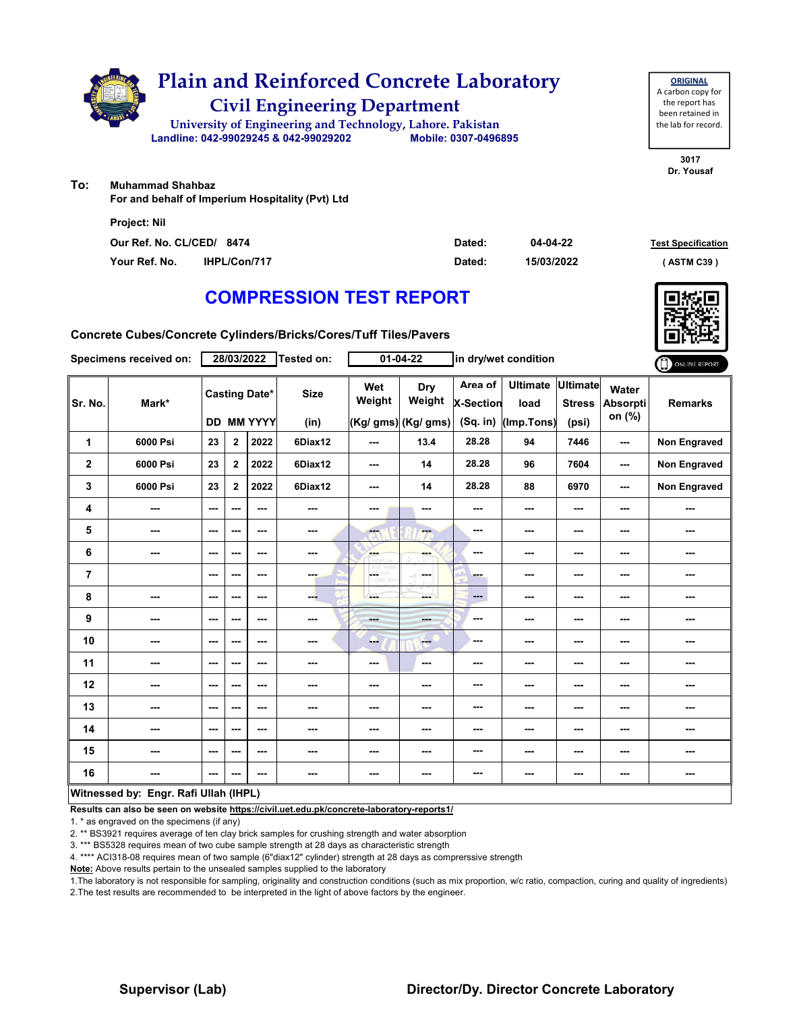

**ORIGINAL**

**To: Muhammad Shahbaz**

**For and behalf of Imperium Hospitality (Pvt) Ltd**

| <b>Project: Nil</b>       |              |        |            |                           |
|---------------------------|--------------|--------|------------|---------------------------|
| Our Ref. No. CL/CED/ 8474 |              | Dated: | 04-04-22   | <b>Test Specification</b> |
| Your Ref. No.             | IHPL/Con/717 | Dated: | 15/03/2022 | (ASTM C39)                |

## **COMPRESSION TEST REPORT**

**Concrete Cubes/Concrete Cylinders/Bricks/Cores/Tuff Tiles/Pavers**

|                         | Specimens received on:                |                          | 28/03/2022              |                                           | Tested on:          |               | 01-04-22                             |                                         | in dry/wet condition                  |                                           |                             | ONLINE REPORT       |
|-------------------------|---------------------------------------|--------------------------|-------------------------|-------------------------------------------|---------------------|---------------|--------------------------------------|-----------------------------------------|---------------------------------------|-------------------------------------------|-----------------------------|---------------------|
| Sr. No.                 | Mark*                                 |                          |                         | <b>Casting Date*</b><br><b>DD MM YYYY</b> | <b>Size</b><br>(in) | Wet<br>Weight | Dry<br>Weight<br>(Kg/ gms) (Kg/ gms) | Area of<br><b>X-Section</b><br>(Sq. in) | <b>Ultimate</b><br>load<br>(Imp.Tons) | <b>Ultimate</b><br><b>Stress</b><br>(psi) | Water<br>Absorpti<br>on (%) | <b>Remarks</b>      |
| 1                       | 6000 Psi                              | 23                       | $\mathbf{2}$            | 2022                                      | 6Diax12             | ---           | 13.4                                 | 28.28                                   | 94                                    | 7446                                      | ---                         | <b>Non Engraved</b> |
| $\overline{\mathbf{2}}$ | 6000 Psi                              | 23                       | $\overline{\mathbf{2}}$ | 2022                                      | 6Diax12             | ---           | 14                                   | 28.28                                   | 96                                    | 7604                                      | ---                         | Non Engraved        |
| 3                       | 6000 Psi                              | 23                       | $\mathbf{2}$            | 2022                                      | 6Diax12             | ---           | 14                                   | 28.28                                   | 88                                    | 6970                                      | ---                         | <b>Non Engraved</b> |
| 4                       | $\sim$                                | $\sim$                   | ---                     | $\sim$ $\sim$                             | $\sim$              | ---           | ---                                  | ---                                     | ---                                   | ---                                       | ---                         | ---                 |
| 5                       | ---                                   | $--$                     | ---                     | $\sim$ $\sim$                             | ---                 | <b>Fee</b>    | ---                                  | $\sim$ $\sim$                           | ---                                   | ---                                       | ---                         | ---                 |
| 6                       | ---                                   | $--$                     | ---                     | $\sim$ $\sim$                             | $\sim$              | ---           | ---                                  | ---                                     | ---                                   | ---                                       | ---                         | ---                 |
| $\overline{7}$          |                                       | $\overline{\phantom{a}}$ | ---                     | $\sim$ $\sim$                             | ---                 | LGS.<br>D.VON | ---                                  | ---                                     | ---                                   | ---                                       | ---                         | ---                 |
| 8                       | ---                                   | $\cdots$                 | ---                     | ---                                       | ---                 | ---           | ---                                  | $---$                                   | ---                                   | ---                                       | ---                         | ---                 |
| 9                       | ---                                   | $\overline{\phantom{a}}$ | ---                     | $- - -$                                   | ---                 | ---           | ---                                  | ---                                     | ---                                   | ---                                       | ---                         | ---                 |
| 10                      | $\overline{\phantom{a}}$              | $\sim$                   | ---                     | $\sim$ $\sim$                             | ---                 | ---           | <b>Free</b>                          | ---                                     | ---                                   | $\overline{\phantom{a}}$                  | ---                         | ---                 |
| 11                      | $\qquad \qquad \cdots$                | $\overline{\phantom{a}}$ | ---                     | $\overline{\phantom{a}}$                  | ---                 | ---           | $\overline{\phantom{a}}$             | ---                                     | ---                                   | ---                                       | ---                         | ---                 |
| 12                      | ---                                   | ---                      | ---                     | ---                                       | ---                 | ---           | ---                                  | ---                                     | ---                                   | ---                                       |                             | ---                 |
| 13                      | ---                                   | $\overline{\phantom{a}}$ | ---                     | ---                                       | ---                 | ---           | ---                                  | ---                                     | ---                                   | ---                                       | ---                         | ---                 |
| 14                      | ---                                   | $-$                      | ---                     | $\sim$ $\sim$                             | $\sim$ $\sim$       | ---           | ---                                  | ---                                     | ---                                   | ---                                       | ---                         | ---                 |
| 15                      | ---                                   | ---                      | ---                     | $\overline{\phantom{a}}$                  | ---                 | ---           | $\overline{\phantom{a}}$             | ---                                     | ---                                   | ---                                       | ---                         | ---                 |
| 16                      | $- - -$                               | $--$                     | ---                     | $- - -$                                   | $\sim$              | ---           | ---                                  | ---                                     | ---                                   | ---                                       | ---                         | ---                 |
|                         | Witnessed by: Engr. Rafi Ullah (IHPL) |                          |                         |                                           |                     |               |                                      |                                         |                                       |                                           |                             |                     |

**Results can also be seen on website https://civil.uet.edu.pk/concrete-laboratory-reports1/**

1. \* as engraved on the specimens (if any)

2. \*\* BS3921 requires average of ten clay brick samples for crushing strength and water absorption

3. \*\*\* BS5328 requires mean of two cube sample strength at 28 days as characteristic strength

4. \*\*\*\* ACI318-08 requires mean of two sample (6"diax12" cylinder) strength at 28 days as comprerssive strength

**Note:** Above results pertain to the unsealed samples supplied to the laboratory

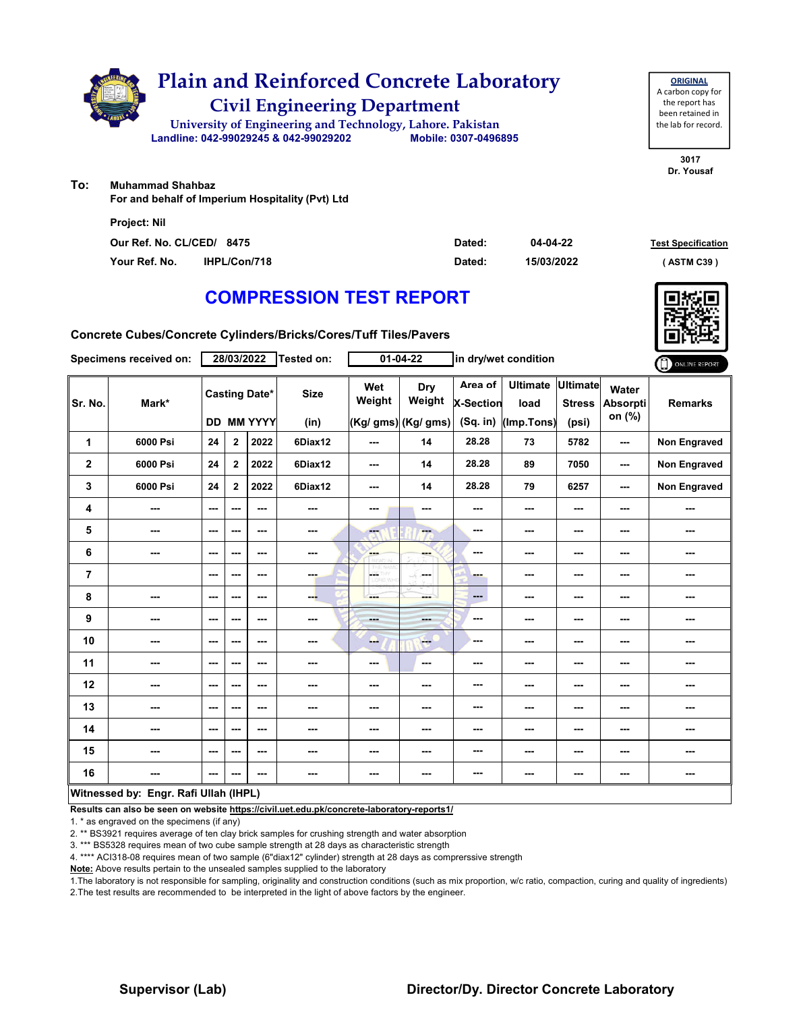

**ORIGINAL**

**To: Muhammad Shahbaz**

**For and behalf of Imperium Hospitality (Pvt) Ltd**

| <b>Project: Nil</b>       |                     |        |            |                           |
|---------------------------|---------------------|--------|------------|---------------------------|
| Our Ref. No. CL/CED/ 8475 |                     | Dated: | 04-04-22   | <b>Test Specification</b> |
| Your Ref. No.             | <b>IHPL/Con/718</b> | Dated: | 15/03/2022 | (ASTM C39)                |

## **COMPRESSION TEST REPORT**

**Concrete Cubes/Concrete Cylinders/Bricks/Cores/Tuff Tiles/Pavers**

|                | Specimens received on:                |                          | 28/03/2022              |                                           | Tested on:          |                          | $01 - 04 - 22$                              |                                         | in dry/wet condition                  |                                           |                                    | ONLINE REPORT       |
|----------------|---------------------------------------|--------------------------|-------------------------|-------------------------------------------|---------------------|--------------------------|---------------------------------------------|-----------------------------------------|---------------------------------------|-------------------------------------------|------------------------------------|---------------------|
| Sr. No.        | Mark*                                 |                          |                         | <b>Casting Date*</b><br><b>DD MM YYYY</b> | <b>Size</b><br>(in) | Wet<br>Weight            | <b>Dry</b><br>Weight<br>(Kg/ gms) (Kg/ gms) | Area of<br><b>X-Section</b><br>(Sq. in) | <b>Ultimate</b><br>load<br>(Imp.Tons) | <b>Ultimate</b><br><b>Stress</b><br>(psi) | Water<br><b>Absorpti</b><br>on (%) | <b>Remarks</b>      |
| 1              | 6000 Psi                              | 24                       | $\mathbf{2}$            | 2022                                      | 6Diax12             | ---                      | 14                                          | 28.28                                   | 73                                    | 5782                                      | ---                                | <b>Non Engraved</b> |
| $\mathbf 2$    | 6000 Psi                              | 24                       | $\overline{\mathbf{2}}$ | 2022                                      | 6Diax12             | $--$                     | 14                                          | 28.28                                   | 89                                    | 7050                                      | ---                                | <b>Non Engraved</b> |
| 3              | 6000 Psi                              | 24                       | $\mathbf{2}$            | 2022                                      | 6Diax12             | ---                      | 14                                          | 28.28                                   | 79                                    | 6257                                      | ---                                | <b>Non Engraved</b> |
| 4              | ---                                   | $\overline{\phantom{a}}$ | ---                     | $\sim$ $\sim$                             | ---                 | ---                      | ---                                         | ---                                     | ---                                   | ---                                       |                                    | ---                 |
| 5              | $\overline{\phantom{a}}$              | $--$                     | ---                     | $\sim$ $\sim$                             | ---                 | $\overline{\phantom{a}}$ | ---                                         | $\sim$                                  | ---                                   | ---                                       | ---                                | ---                 |
| 6              | ---                                   | $\overline{\phantom{a}}$ | ---                     | $- - -$                                   | $\sim$              | ---                      | ---                                         | ---                                     | ---                                   | ---                                       | ---                                | ---                 |
| $\overline{7}$ |                                       | $\overline{\phantom{a}}$ | ---                     | $\sim$ $\sim$                             | $-1$                | HS.<br>D.Wro             | and a<br>-S                                 | ---                                     | ---                                   | ---                                       | ---                                | ---                 |
| 8              | ---                                   | ---                      | ---                     | ---                                       | ---                 | ---                      | mente di                                    | $\qquad \qquad \cdots$                  | ---                                   | ---                                       |                                    | ---                 |
| 9              | ---                                   | $\sim$                   | ---                     | $\overline{\phantom{a}}$                  | ---                 | ---                      | ---                                         | $-$                                     | ---                                   | ---                                       | ---                                | ---                 |
| 10             | $- - -$                               | $\sim$ $\sim$            | ---                     | $\sim$ $\sim$                             | ---                 | ---                      | <b>Free</b>                                 | ---                                     | ---                                   | ---                                       | ---                                | ---                 |
| 11             | $\overline{\phantom{a}}$              | $--$                     | ---                     | ---                                       | ---                 | ---                      | $\overline{\phantom{a}}$                    | ---                                     | ---                                   | ---                                       |                                    | ---                 |
| 12             | ---                                   | ---                      | ---                     | $\overline{\phantom{a}}$                  | ---                 | ---                      | ---                                         | ---                                     | ---                                   | ---                                       | ---                                | ---                 |
| 13             | ---                                   | ---                      | ---                     | ---                                       | ---                 | ---                      | ---                                         | ---                                     | ---                                   | ---                                       | ---                                | ---                 |
| 14             | ---                                   | $\sim$ $\sim$            | ---                     | $\sim$ $\sim$                             | $\sim$ $\sim$       | ---                      | ---                                         | ---                                     | ---                                   | ---                                       | ---                                | ---                 |
| 15             | ---                                   | $--$                     | ---                     | $\overline{\phantom{a}}$                  | $\sim$              | ---                      | ---                                         | ---                                     | ---                                   | ---                                       |                                    | ---                 |
| 16             | $- - -$                               | $--$                     | ---                     | $- - -$                                   | $\sim$              | ---                      | ---                                         | ---                                     | ---                                   | ---                                       | ---                                | ---                 |
|                | Witnessed by: Engr. Rafi Ullah (IHPL) |                          |                         |                                           |                     |                          |                                             |                                         |                                       |                                           |                                    |                     |

**Results can also be seen on website https://civil.uet.edu.pk/concrete-laboratory-reports1/**

1. \* as engraved on the specimens (if any)

2. \*\* BS3921 requires average of ten clay brick samples for crushing strength and water absorption

3. \*\*\* BS5328 requires mean of two cube sample strength at 28 days as characteristic strength

4. \*\*\*\* ACI318-08 requires mean of two sample (6"diax12" cylinder) strength at 28 days as comprerssive strength

**Note:** Above results pertain to the unsealed samples supplied to the laboratory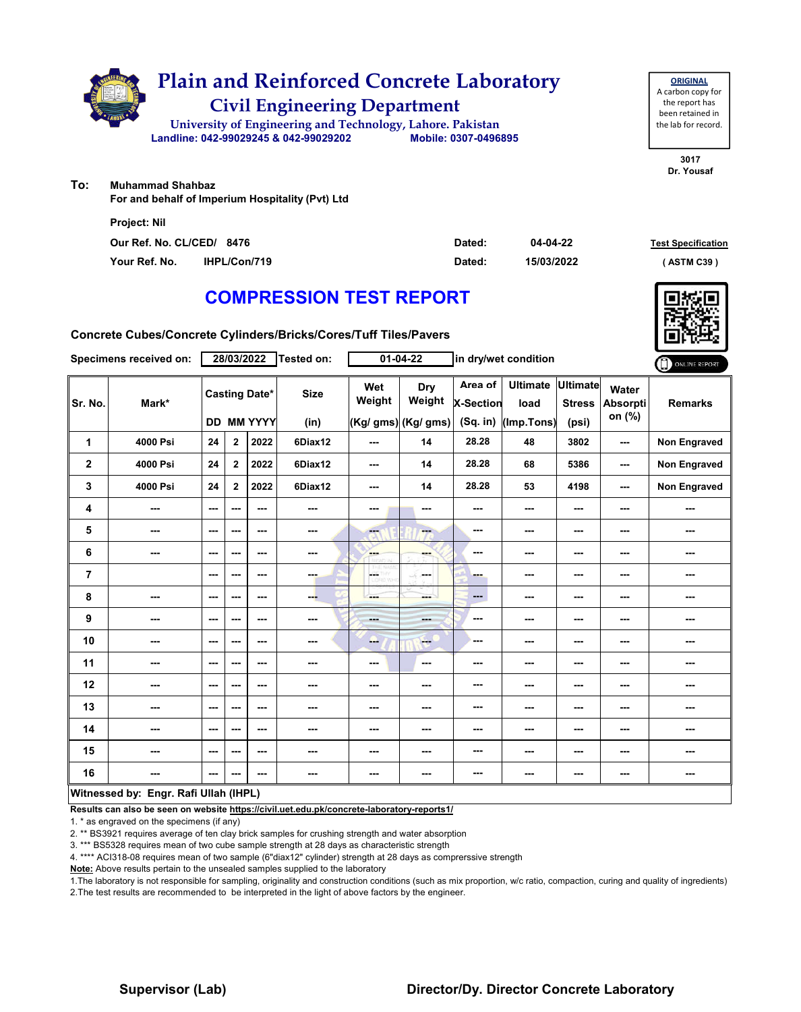

**ORIGINAL**

**To: Muhammad Shahbaz**

**For and behalf of Imperium Hospitality (Pvt) Ltd**

| <b>Project: Nil</b>       |                     |        |            |                           |
|---------------------------|---------------------|--------|------------|---------------------------|
| Our Ref. No. CL/CED/ 8476 |                     | Dated: | 04-04-22   | <b>Test Specification</b> |
| Your Ref. No.             | <b>IHPL/Con/719</b> | Dated: | 15/03/2022 | (ASTM C39)                |

## **COMPRESSION TEST REPORT**

**Concrete Cubes/Concrete Cylinders/Bricks/Cores/Tuff Tiles/Pavers**

|                | Specimens received on:                |                          | 28/03/2022              |                                           | Tested on:          |               | $01 - 04 - 22$                              |                                           | in dry/wet condition                  |                                           |                                    | ONLINE REPORT       |
|----------------|---------------------------------------|--------------------------|-------------------------|-------------------------------------------|---------------------|---------------|---------------------------------------------|-------------------------------------------|---------------------------------------|-------------------------------------------|------------------------------------|---------------------|
| Sr. No.        | Mark*                                 |                          |                         | <b>Casting Date*</b><br><b>DD MM YYYY</b> | <b>Size</b><br>(in) | Wet<br>Weight | <b>Dry</b><br>Weight<br>(Kg/ gms) (Kg/ gms) | Area of<br><b>X-Section</b><br>$(Sq.$ in) | <b>Ultimate</b><br>load<br>(Imp.Tons) | <b>Ultimate</b><br><b>Stress</b><br>(psi) | Water<br><b>Absorpti</b><br>on (%) | <b>Remarks</b>      |
| 1              | 4000 Psi                              | 24                       | $\mathbf{2}$            | 2022                                      | 6Diax12             | ---           | 14                                          | 28.28                                     | 48                                    | 3802                                      | ---                                | <b>Non Engraved</b> |
| $\mathbf 2$    | 4000 Psi                              | 24                       | $\overline{\mathbf{2}}$ | 2022                                      | 6Diax12             | ---           | 14                                          | 28.28                                     | 68                                    | 5386                                      | ---                                | <b>Non Engraved</b> |
| 3              | 4000 Psi                              | 24                       | $\mathbf{2}$            | 2022                                      | 6Diax12             | ---           | 14                                          | 28.28                                     | 53                                    | 4198                                      | ---                                | <b>Non Engraved</b> |
| 4              | ---                                   | $\overline{\phantom{a}}$ | ---                     | $\sim$ $\sim$                             | ---                 | ---           | ---                                         | ---                                       | ---                                   | ---                                       |                                    | ---                 |
| 5              | $\overline{\phantom{a}}$              | $--$                     | ---                     | $\sim$ $\sim$                             | ---                 | FT.           | ---                                         | $\sim$                                    | ---                                   | ---                                       | ---                                | ---                 |
| 6              | ---                                   | $\overline{\phantom{a}}$ | ---                     | $- - -$                                   | $\sim$              | ---           | ---                                         | ---                                       | ---                                   | ---                                       | ---                                | ---                 |
| $\overline{7}$ |                                       | $\overline{\phantom{a}}$ | ---                     | $\sim$ $\sim$                             | $-1$                | ÷<br>D.Wind   | and a<br>Æ                                  | ---                                       | ---                                   | ---                                       | ---                                | ---                 |
| 8              | ---                                   | ---                      | ---                     | ---                                       | ---                 | ---           | mente di                                    | $\qquad \qquad \cdots$                    | ---                                   | ---                                       |                                    | ---                 |
| 9              | ---                                   | $\sim$                   | ---                     | $\overline{\phantom{a}}$                  | ---                 | ---           | ---                                         | $-$                                       | ---                                   | ---                                       | ---                                | ---                 |
| 10             | ---                                   | $\sim$ $\sim$            | ---                     | $\sim$ $\sim$                             | ---                 | --            | <b>Free</b>                                 | ---                                       | ---                                   | ---                                       | ---                                | ---                 |
| 11             | $\overline{\phantom{a}}$              | $--$                     | ---                     | ---                                       | ---                 | ---           | $\overline{\phantom{a}}$                    | ---                                       | ---                                   | ---                                       |                                    | ---                 |
| 12             | ---                                   | ---                      | ---                     | $\overline{\phantom{a}}$                  | ---                 | ---           | ---                                         | ---                                       | ---                                   | ---                                       | ---                                | ---                 |
| 13             | ---                                   | ---                      | ---                     | ---                                       | ---                 | ---           | ---                                         | ---                                       | ---                                   | ---                                       | ---                                | ---                 |
| 14             | ---                                   | $\sim$ $\sim$            | ---                     | $\sim$ $\sim$                             | $\sim$ $\sim$       | ---           | ---                                         | ---                                       | ---                                   | ---                                       | ---                                | ---                 |
| 15             | ---                                   | $--$                     | ---                     | $\overline{\phantom{a}}$                  | $\sim$              | ---           | ---                                         | ---                                       | ---                                   | ---                                       |                                    | ---                 |
| 16             | ---                                   | $--$                     | ---                     | $- - -$                                   | $\sim$              | ---           | ---                                         | ---                                       | ---                                   | ---                                       | ---                                | ---                 |
|                | Witnessed by: Engr. Rafi Ullah (IHPL) |                          |                         |                                           |                     |               |                                             |                                           |                                       |                                           |                                    |                     |

**Results can also be seen on website https://civil.uet.edu.pk/concrete-laboratory-reports1/**

1. \* as engraved on the specimens (if any)

2. \*\* BS3921 requires average of ten clay brick samples for crushing strength and water absorption

3. \*\*\* BS5328 requires mean of two cube sample strength at 28 days as characteristic strength

4. \*\*\*\* ACI318-08 requires mean of two sample (6"diax12" cylinder) strength at 28 days as comprerssive strength

**Note:** Above results pertain to the unsealed samples supplied to the laboratory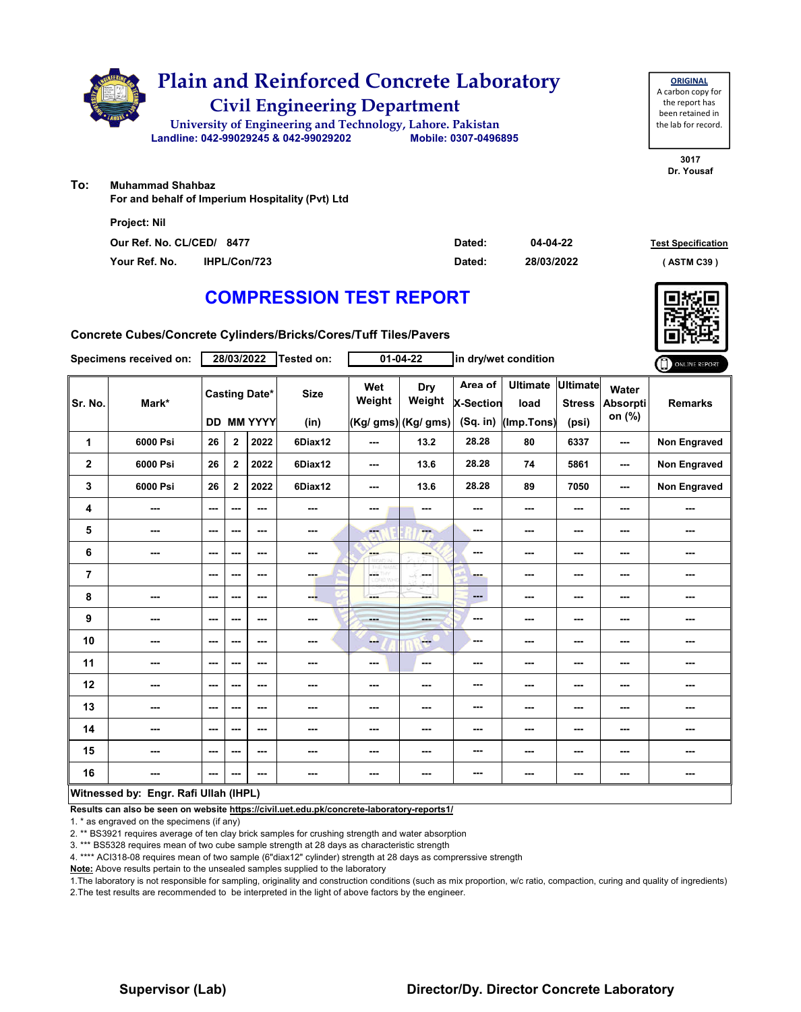

**3017** been retained in the lab for record.

**ORIGINAL**

**Dr. Yousaf**

**To: Muhammad Shahbaz**

**For and behalf of Imperium Hospitality (Pvt) Ltd**

| <b>Project: Nil</b>       |                     |        |            |                           |
|---------------------------|---------------------|--------|------------|---------------------------|
| Our Ref. No. CL/CED/ 8477 |                     | Dated: | 04-04-22   | <b>Test Specification</b> |
| Your Ref. No.             | <b>IHPL/Con/723</b> | Dated: | 28/03/2022 | (ASTM C39)                |

## **COMPRESSION TEST REPORT**

**Concrete Cubes/Concrete Cylinders/Bricks/Cores/Tuff Tiles/Pavers**

|                         | Specimens received on:                |                          | 28/03/2022              |                                           | Tested on:          |               | 01-04-22                             |                                         | in dry/wet condition                  |                                           |                             | ONLINE REPORT       |
|-------------------------|---------------------------------------|--------------------------|-------------------------|-------------------------------------------|---------------------|---------------|--------------------------------------|-----------------------------------------|---------------------------------------|-------------------------------------------|-----------------------------|---------------------|
| Sr. No.                 | Mark*                                 |                          |                         | <b>Casting Date*</b><br><b>DD MM YYYY</b> | <b>Size</b><br>(in) | Wet<br>Weight | Dry<br>Weight<br>(Kg/ gms) (Kg/ gms) | Area of<br><b>X-Section</b><br>(Sq. in) | <b>Ultimate</b><br>load<br>(Imp.Tons) | <b>Ultimate</b><br><b>Stress</b><br>(psi) | Water<br>Absorpti<br>on (%) | <b>Remarks</b>      |
| 1                       | 6000 Psi                              | 26                       | $\mathbf{2}$            | 2022                                      | 6Diax12             | ---           | 13.2                                 | 28.28                                   | 80                                    | 6337                                      | ---                         | <b>Non Engraved</b> |
| $\overline{\mathbf{2}}$ | 6000 Psi                              | 26                       | $\overline{\mathbf{2}}$ | 2022                                      | 6Diax12             | ---           | 13.6                                 | 28.28                                   | 74                                    | 5861                                      | ---                         | Non Engraved        |
| 3                       | 6000 Psi                              | 26                       | $\overline{2}$          | 2022                                      | 6Diax12             | ---           | 13.6                                 | 28.28                                   | 89                                    | 7050                                      | ---                         | <b>Non Engraved</b> |
| 4                       | $\overline{\phantom{a}}$              | $\sim$                   | ---                     | $\sim$ $\sim$                             | $\sim$              | ---           | ---                                  | ---                                     | ---                                   | ---                                       | ---                         | ---                 |
| 5                       | ---                                   | $--$                     | ---                     | $\sim$ $\sim$                             | ---                 | <b>Fee</b>    | ---                                  | $\sim$ $\sim$                           | ---                                   | ---                                       | ---                         | ---                 |
| 6                       | ---                                   | $--$                     | ---                     | $\sim$ $\sim$                             | $\sim$              | ---           | ---                                  | ---                                     | ---                                   | ---                                       | ---                         | ---                 |
| $\overline{7}$          |                                       | $\overline{\phantom{a}}$ | ---                     | $\sim$ $\sim$                             | ---                 | LGS.<br>D.VOH | ---                                  | ---                                     | ---                                   | ---                                       | ---                         | ---                 |
| 8                       | ---                                   | $--$                     | ---                     | ---                                       | ---                 | ---           | ---                                  | $---$                                   | ---                                   | ---                                       | ---                         | ---                 |
| 9                       | ---                                   | $\overline{\phantom{a}}$ | ---                     | $- - -$                                   | ---                 | $- - -$       | ---                                  | ---                                     | ---                                   | ---                                       | ---                         | ---                 |
| 10                      | $\overline{\phantom{a}}$              | $\sim$                   | ---                     | $\sim$ $\sim$                             | ---                 | ---           | <b>Free</b>                          | ---                                     | ---                                   | $\overline{\phantom{a}}$                  | ---                         | ---                 |
| 11                      | $\qquad \qquad \cdots$                | $\overline{\phantom{a}}$ | ---                     | $\overline{\phantom{a}}$                  | ---                 | ---           | $\overline{\phantom{a}}$             | ---                                     | ---                                   | ---                                       | ---                         | ---                 |
| 12                      | ---                                   | ---                      | ---                     | ---                                       | ---                 | ---           | ---                                  | ---                                     | ---                                   | ---                                       |                             | ---                 |
| 13                      | ---                                   | $\overline{\phantom{a}}$ | ---                     | ---                                       | ---                 | ---           | ---                                  | ---                                     | ---                                   | ---                                       | ---                         | ---                 |
| 14                      | ---                                   | $-$                      | ---                     | $\sim$ $\sim$                             | $\sim$ $\sim$       | ---           | ---                                  | ---                                     | ---                                   | ---                                       | ---                         | ---                 |
| 15                      | ---                                   | ---                      | ---                     | $\overline{\phantom{a}}$                  | ---                 | ---           | $\overline{\phantom{a}}$             | ---                                     | ---                                   | ---                                       | ---                         | ---                 |
| 16                      | ---                                   | $--$                     | ---                     | $- - -$                                   | $\sim$              | ---           | ---                                  | ---                                     | ---                                   | ---                                       | ---                         | ---                 |
|                         | Witnessed by: Engr. Rafi Ullah (IHPL) |                          |                         |                                           |                     |               |                                      |                                         |                                       |                                           |                             |                     |

**Results can also be seen on website https://civil.uet.edu.pk/concrete-laboratory-reports1/**

1. \* as engraved on the specimens (if any)

2. \*\* BS3921 requires average of ten clay brick samples for crushing strength and water absorption

3. \*\*\* BS5328 requires mean of two cube sample strength at 28 days as characteristic strength

4. \*\*\*\* ACI318-08 requires mean of two sample (6"diax12" cylinder) strength at 28 days as comprerssive strength

**Note:** Above results pertain to the unsealed samples supplied to the laboratory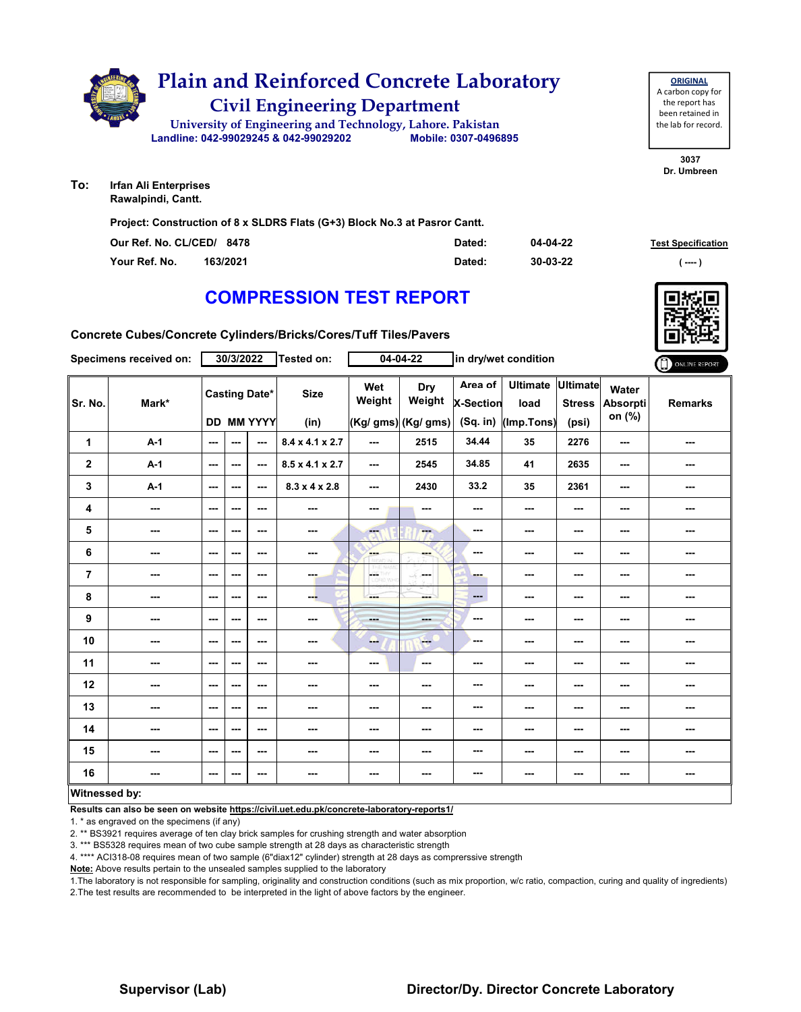

**To: Irfan Ali Enterprises Rawalpindi, Cantt.**

**Project: Construction of 8 x SLDRS Flats (G+3) Block No.3 at Pasror Cantt.**

| Our Ref. No. CL/CED/ 8478 |          | Dated: | 04-04-22 | <b>Test Specification</b> |
|---------------------------|----------|--------|----------|---------------------------|
| Your Ref. No.             | 163/2021 | Dated: | 30-03-22 | ( ----                    |

**3037 Dr. Umbreen**

**ORIGINAL** A carbon copy for the report has been retained in the lab for record.

### **COMPRESSION TEST REPORT**

**Concrete Cubes/Concrete Cylinders/Bricks/Cores/Tuff Tiles/Pavers**

|                  | Specimens received on:   |                          | 30/3/2022                |                                           | Tested on:                  |               | $04 - 04 - 22$                              |                                  | in dry/wet condition                  |                                    |                             | ONLINE REPORT  |
|------------------|--------------------------|--------------------------|--------------------------|-------------------------------------------|-----------------------------|---------------|---------------------------------------------|----------------------------------|---------------------------------------|------------------------------------|-----------------------------|----------------|
| Sr. No.          | Mark*                    |                          |                          | <b>Casting Date*</b><br><b>DD MM YYYY</b> | <b>Size</b><br>(in)         | Wet<br>Weight | <b>Dry</b><br>Weight<br>(Kg/ gms) (Kg/ gms) | Area of<br>X-Section<br>(Sq. in) | <b>Ultimate</b><br>load<br>(Imp.Tons) | Ultimate<br><b>Stress</b><br>(psi) | Water<br>Absorpti<br>on (%) | <b>Remarks</b> |
| 1                | $A-1$                    | $\sim$ $\sim$            | $\overline{\phantom{a}}$ | $\overline{\phantom{a}}$                  | $8.4 \times 4.1 \times 2.7$ | ---           | 2515                                        | 34.44                            | 35                                    | 2276                               | ---                         | ---            |
| $\boldsymbol{2}$ | $A-1$                    | $\sim$ $\sim$            | $-$                      | $\sim$ $\sim$                             | $8.5 \times 4.1 \times 2.7$ | ---           | 2545                                        | 34.85                            | 41                                    | 2635                               | $\sim$                      | ---            |
| 3                | $A-1$                    | $\overline{\phantom{a}}$ | ---                      | $\sim$ $\sim$                             | $8.3 \times 4 \times 2.8$   | ---           | 2430                                        | 33.2                             | 35                                    | 2361                               | ---                         | ---            |
| 4                | $\overline{\phantom{a}}$ | $\sim$                   | $\overline{\phantom{a}}$ | ---                                       | ---                         | ---           | ---                                         | ---                              | ---                                   | $\overline{\phantom{a}}$           | ---                         | ---            |
| 5                | $\cdots$                 | $\sim$                   | $\overline{\phantom{a}}$ | ---                                       | ---                         | ---           | <b>Family</b>                               | $\overline{\phantom{a}}$         | ---                                   | ---                                | ---                         | ---            |
| 6                | $\sim$                   | $\sim$ $\sim$            | ---                      | $- - -$                                   | ---                         | ---           | ---                                         | ---                              | ---                                   | ---                                | ---                         | ---            |
| $\overline{7}$   | ---                      | $\sim$ $\sim$            | $\overline{\phantom{a}}$ | $\sim$ $\sim$                             | ---                         | CORD WHI      | -16<br>---                                  | ---                              | ---                                   | ---                                | ---                         | ---            |
| 8                | ---                      | $\sim$                   | $\overline{\phantom{a}}$ | $\overline{\phantom{a}}$                  | --                          | ---           | ---                                         | $\qquad \qquad \cdots$           | ---                                   | ---                                | ---                         | ---            |
| 9                | ---                      | $\qquad \qquad \cdots$   | ---                      | ---                                       | ---                         | ---           | $-1$                                        | ---                              | ---                                   | ---                                | ---                         | ---            |
| 10               | ---                      | $\sim$                   | ---                      | $- - -$                                   | ---                         | ---           | <b>Here</b>                                 | ---                              | ---                                   | ---                                | ---                         | ---            |
| 11               | $\overline{\phantom{a}}$ | $\sim$                   | $\sim$ $\sim$            | $\overline{\phantom{a}}$                  | $\overline{\phantom{a}}$    | ---           | $\sim$                                      | ---                              | ---                                   | ---                                | ---                         | ---            |
| 12               | ---                      | $\sim$ $\sim$            | ---                      | ---                                       | ---                         | ---           | ---                                         | ---                              | ---                                   | ---                                | ---                         | ---            |
| 13               | ---                      | $\sim$ $\sim$            | ---                      | ---                                       | ---                         | ---           | ---                                         | $\sim$                           | ---                                   | ---                                | ---                         | ---            |
| 14               | $\overline{\phantom{a}}$ | $\sim$ $\sim$            | $\sim$                   | ---                                       | $\overline{\phantom{a}}$    | ---           | ---                                         | ---                              | ---                                   | $\overline{\phantom{a}}$           | $\sim$                      | ---            |
| 15               | ---                      | $\sim$                   | ---                      | ---                                       | ---                         | ---           | ---                                         | $- - -$                          | ---                                   | ---                                | ---                         | ---            |
| 16               | ---                      | $\sim$ $\sim$            | ---                      | ---                                       | ---                         | ---           | ---                                         | $\overline{\phantom{a}}$         | ---                                   | ---                                | ---                         | ---            |
| Witnessed by:    |                          |                          |                          |                                           |                             |               |                                             |                                  |                                       |                                    |                             |                |

#### **Witnessed by:**

**Results can also be seen on website https://civil.uet.edu.pk/concrete-laboratory-reports1/**

1. \* as engraved on the specimens (if any)

2. \*\* BS3921 requires average of ten clay brick samples for crushing strength and water absorption

3. \*\*\* BS5328 requires mean of two cube sample strength at 28 days as characteristic strength

4. \*\*\*\* ACI318-08 requires mean of two sample (6"diax12" cylinder) strength at 28 days as comprerssive strength

**Note:** Above results pertain to the unsealed samples supplied to the laboratory

1.The laboratory is not responsible for sampling, originality and construction conditions (such as mix proportion, w/c ratio, compaction, curing and quality of ingredients) 2.The test results are recommended to be interpreted in the light of above factors by the engineer.

### **Supervisor (Lab) Director/Dy. Director Concrete Laboratory**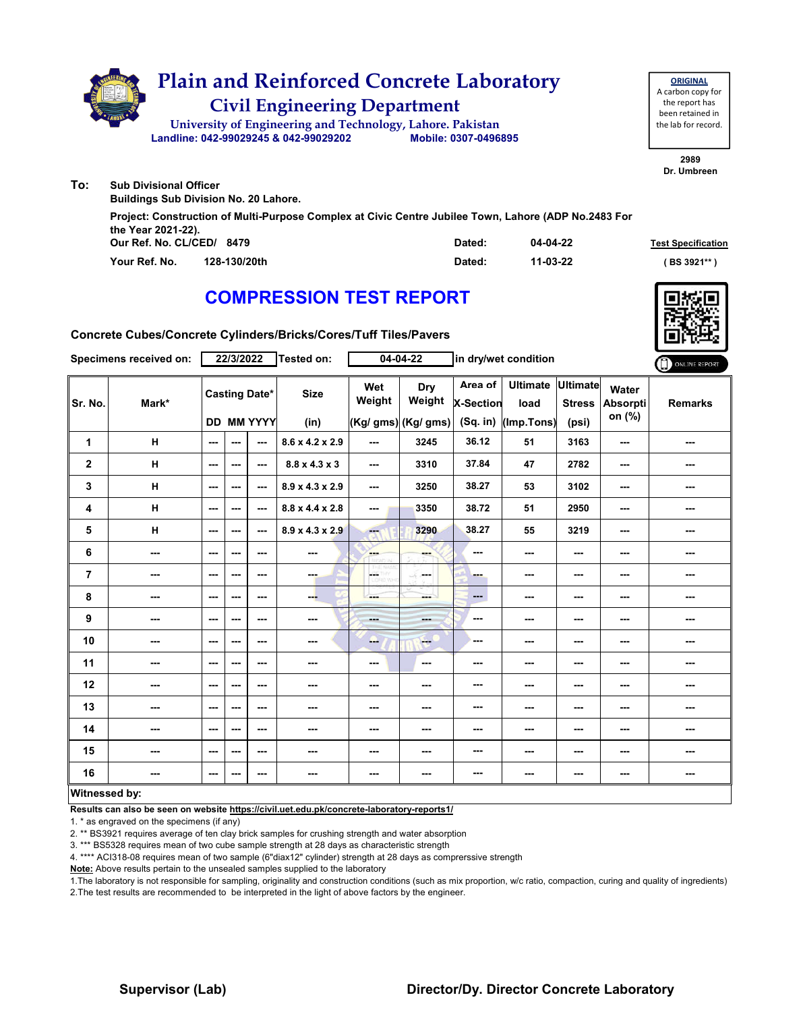

|                                                 | Project: Construction of Multi-Purpose Complex at Civic Centre Jubilee Town, Lahore (ADP No.2483 For |        |          |                           |
|-------------------------------------------------|------------------------------------------------------------------------------------------------------|--------|----------|---------------------------|
| the Year 2021-22).<br>Our Ref. No. CL/CED/ 8479 |                                                                                                      | Dated: | 04-04-22 | <b>Test Specification</b> |
| Your Ref. No.                                   | 128-130/20th                                                                                         | Dated: | 11-03-22 | BS 3921**                 |

## **COMPRESSION TEST REPORT**



**Concrete Cubes/Concrete Cylinders/Bricks/Cores/Tuff Tiles/Pavers**

|                         | Specimens received on:   |                          | 22/3/2022 |                                           | Tested on:                  |                  | $04 - 04 - 22$                       |                                           | in dry/wet condition                  |                                           |                                    | ONLINE REPORT  |
|-------------------------|--------------------------|--------------------------|-----------|-------------------------------------------|-----------------------------|------------------|--------------------------------------|-------------------------------------------|---------------------------------------|-------------------------------------------|------------------------------------|----------------|
| Sr. No.                 | Mark*                    |                          |           | <b>Casting Date*</b><br><b>DD MM YYYY</b> | <b>Size</b><br>(in)         | Wet<br>Weight    | Dry<br>Weight<br>(Kg/ gms) (Kg/ gms) | Area of<br><b>X-Section</b><br>$(Sq.$ in) | <b>Ultimate</b><br>load<br>(Imp.Tons) | <b>Ultimate</b><br><b>Stress</b><br>(psi) | Water<br><b>Absorpti</b><br>on (%) | <b>Remarks</b> |
| 1                       | H                        | $\sim$                   | ---       | ---                                       | 8.6 x 4.2 x 2.9             | ---              | 3245                                 | 36.12                                     | 51                                    | 3163                                      | $- - -$                            | ---            |
| $\overline{\mathbf{2}}$ | H                        | $\overline{\phantom{a}}$ | ---       | ---                                       | $8.8 \times 4.3 \times 3$   | $--$             | 3310                                 | 37.84                                     | 47                                    | 2782                                      | $\overline{\phantom{a}}$           | ---            |
| 3                       | H                        | $\overline{\phantom{a}}$ | ---       | $--$                                      | $8.9 \times 4.3 \times 2.9$ | $--$             | 3250                                 | 38.27                                     | 53                                    | 3102                                      | $\overline{\phantom{a}}$           | ---            |
| 4                       | H                        | $\sim$                   | ---       | $\sim$                                    | $8.8 \times 4.4 \times 2.8$ | ---              | 3350                                 | 38.72                                     | 51                                    | 2950                                      | $\overline{\phantom{a}}$           | ---            |
| 5                       | H                        | ---                      | ---       | $--$                                      | $8.9 \times 4.3 \times 2.9$ | Æ.               | 3290                                 | 38.27                                     | 55                                    | 3219                                      | ---                                | ---            |
| 6                       | ---                      | $-$                      | ---       | $- - -$                                   | $-$                         | <b>AND</b>       | ---                                  | ---                                       | ---                                   | ---                                       | ---                                | ---            |
| 7                       | $\sim$                   | $\overline{\phantom{a}}$ | ---       | $--$                                      | ---                         | ÷<br><b>D.WH</b> | <b>Service</b>                       | ---                                       | ---                                   | ---                                       | ---                                | ---            |
| 8                       | $\overline{\phantom{a}}$ | $--$                     | ---       | ---                                       | ---                         | ---              | ment i                               | $\qquad \qquad \cdots$                    | ---                                   | $--$                                      | ---                                |                |
| 9                       | ---                      | $\overline{\phantom{a}}$ | ---       | ---                                       | ---                         | ---              | ---                                  | $-$                                       | ---                                   | $--$                                      | ---                                | ---            |
| 10                      | ---                      | $-$                      | ---       | $- - -$                                   | ---                         | --               | <b>Fee</b>                           | ---                                       | ---                                   | ---                                       | ---                                | ---            |
| 11                      | $\sim$                   | $--$                     | ---       | ---                                       | $\sim$                      | ---              | ---                                  | ---                                       | ---                                   | ---                                       | ---                                | ---            |
| 12                      | ---                      | $--$                     | ---       | $--$                                      | ---                         | ---              | ---                                  | ---                                       | ---                                   | $--$                                      | ---                                | ---            |
| 13                      | $\overline{\phantom{a}}$ | $--$                     | ---       | $--$                                      | ---                         | ---              | ---                                  | ---                                       | ---                                   | $--$                                      | $\overline{\phantom{a}}$           |                |
| 14                      | $\sim$                   | $\overline{\phantom{a}}$ | ---       | $--$                                      | ---                         | ---              | ---                                  | ---                                       | ---                                   | $--$                                      | ---                                |                |
| 15                      | ---                      | ---                      | ---       | ---                                       | $-$                         | ---              | ---                                  | ---                                       | ---                                   | $\sim$                                    | ---                                | ---            |
| 16                      | $\overline{\phantom{a}}$ | $\cdots$                 | ---       | $\cdots$                                  | ---                         | ---              | ---                                  | ---                                       | ---                                   | $\cdots$                                  | $\overline{\phantom{a}}$           | ---            |
| Witnessed by:           |                          |                          |           |                                           |                             |                  |                                      |                                           |                                       |                                           |                                    |                |

#### **Witnessed by:**

**Results can also be seen on website https://civil.uet.edu.pk/concrete-laboratory-reports1/**

1. \* as engraved on the specimens (if any)

2. \*\* BS3921 requires average of ten clay brick samples for crushing strength and water absorption

3. \*\*\* BS5328 requires mean of two cube sample strength at 28 days as characteristic strength

4. \*\*\*\* ACI318-08 requires mean of two sample (6"diax12" cylinder) strength at 28 days as comprerssive strength

**Note:** Above results pertain to the unsealed samples supplied to the laboratory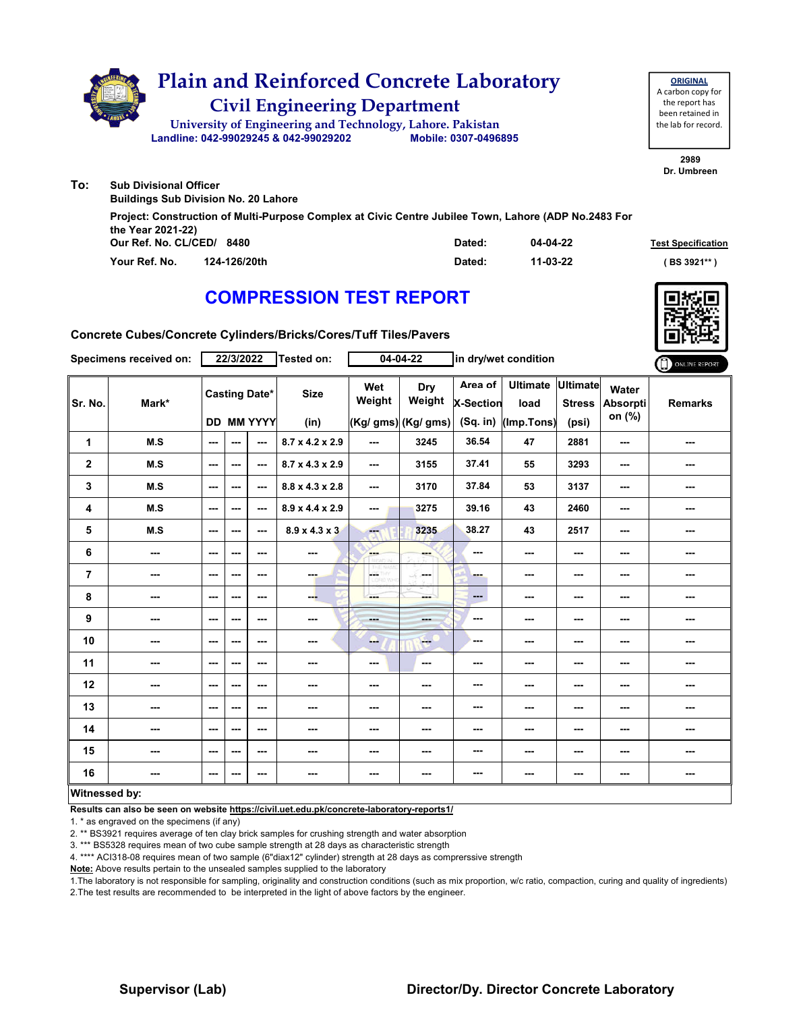

| the Year 2021-22)         | Project: Construction of Multi-Purpose Complex at Civic Centre Jubilee Town, Lahore (ADP No.2483 For |        |          |                           |
|---------------------------|------------------------------------------------------------------------------------------------------|--------|----------|---------------------------|
| Our Ref. No. CL/CED/ 8480 |                                                                                                      | Dated: | 04-04-22 | <b>Test Specification</b> |
| Your Ref. No.             | 124-126/20th                                                                                         | Dated: | 11-03-22 | (BS 3921**)               |

## **COMPRESSION TEST REPORT**



**Concrete Cubes/Concrete Cylinders/Bricks/Cores/Tuff Tiles/Pavers**

|                | Specimens received on:   |                          | 22/3/2022 |                          | Tested on:                  |                          | $04 - 04 - 22$           | in dry/wet condition        |                         |                                  |                             | ONLINE REPORT  |
|----------------|--------------------------|--------------------------|-----------|--------------------------|-----------------------------|--------------------------|--------------------------|-----------------------------|-------------------------|----------------------------------|-----------------------------|----------------|
| Sr. No.        | Mark*                    |                          |           | <b>Casting Date*</b>     | <b>Size</b>                 | Wet<br>Weight            | Dry<br>Weight            | Area of<br><b>X-Section</b> | <b>Ultimate</b><br>load | <b>Ultimate</b><br><b>Stress</b> | Water<br>Absorpti<br>on (%) | <b>Remarks</b> |
|                |                          |                          |           | <b>DD MM YYYY</b>        | (in)                        |                          | (Kg/ gms) (Kg/ gms)      | (Sq. in)                    | (Imp.Tons)              | (psi)                            |                             |                |
| 1              | M.S                      | $\overline{\phantom{a}}$ | ---       | $\overline{\phantom{a}}$ | 8.7 x 4.2 x 2.9             | ---                      | 3245                     | 36.54                       | 47                      | 2881                             | ---                         | ---            |
| $\mathbf 2$    | M.S                      | $\sim$ $\sim$            | $- - -$   | $\sim$ $\sim$            | $8.7 \times 4.3 \times 2.9$ | $\overline{\phantom{a}}$ | 3155                     | 37.41                       | 55                      | 3293                             | $\sim$                      | ---            |
| 3              | M.S                      | $\sim$                   | ---       | $\sim$ $\sim$            | $8.8 \times 4.3 \times 2.8$ | ---                      | 3170                     | 37.84                       | 53                      | 3137                             | ---                         |                |
| 4              | M.S                      | $\sim$ $\sim$            | $-$       | $\sim$ $\sim$            | $8.9 \times 4.4 \times 2.9$ | $\sim$ $\sim$            | 3275                     | 39.16                       | 43                      | 2460                             | ---                         | ---            |
| 5              | M.S                      | $\sim$ $\sim$            | $- - -$   | $\sim$ $\sim$            | $8.9 \times 4.3 \times 3$   | ---                      | 3235                     | 38.27                       | 43                      | 2517                             | ---                         | ---            |
| 6              | ---                      | $\overline{\phantom{a}}$ | ---       | $\sim$ $\sim$            | ---                         | ---                      |                          | ---                         | ---                     | $--$                             | ---                         |                |
| $\overline{7}$ | $\overline{\phantom{a}}$ | $\sim$ $\sim$            | ---       | $- - -$                  | <b>COLL</b>                 | L.<br>12.Vire            | -F.<br>محمد              | ---                         | ---                     | $\sim$                           | ---                         | ---            |
| 8              | ---                      | $\sim$ $\sim$            | ---       | $\sim$ $\sim$            | --                          | ---                      | ---                      | $\qquad \qquad \cdots$      | ---                     | $--$                             | ---                         | ---            |
| 9              | ---                      | $\sim$ $\sim$            | ---       | $\sim$ $\sim$            | ---                         | <b>Hotel</b>             | ---                      | ---                         | ---                     | $--$                             | ---                         | ---            |
| 10             | ---                      | $\qquad \qquad \cdots$   | ---       | $\sim$                   | ---                         | ---                      | <b>Free</b>              | ---                         | ---                     | $--$                             | ---                         | ---            |
| 11             | $\overline{\phantom{a}}$ | $\sim$ $\sim$            | ---       | $\sim$ $\sim$            | ---                         | ---                      | $\overline{\phantom{a}}$ | ---                         | ---                     | $--$                             | ---                         | ---            |
| 12             | ---                      | $\sim$ $\sim$            | ---       | ---                      | ---                         | ---                      | ---                      | ---                         | ---                     | ---                              | ---                         |                |
| 13             | ---                      | $\qquad \qquad \cdots$   | ---       | $\sim$ $\sim$            | ---                         | ---                      | ---                      | ---                         | ---                     | ---                              | ---                         | ---            |
| 14             | $\overline{\phantom{a}}$ | $\sim$ $\sim$            | ---       | $\sim$ $\sim$            | ---                         | ---                      | ---                      | ---                         | ---                     | ---                              | ---                         | ---            |
| 15             | ---                      | $\sim$                   | ---       | $\sim$                   | ---                         | ---                      | ---                      | ---                         | ---                     | ---                              | ---                         | ---            |
| 16             | $\sim$                   | $\sim$ $\sim$            | ---       | $- - -$                  | $- - -$                     | ---                      | ---                      | ---                         | ---                     | $\sim$ $\sim$                    | ---                         | ---            |
| Witnessed by:  |                          |                          |           |                          |                             |                          |                          |                             |                         |                                  |                             |                |

**Results can also be seen on website https://civil.uet.edu.pk/concrete-laboratory-reports1/**

1. \* as engraved on the specimens (if any)

2. \*\* BS3921 requires average of ten clay brick samples for crushing strength and water absorption

3. \*\*\* BS5328 requires mean of two cube sample strength at 28 days as characteristic strength

4. \*\*\*\* ACI318-08 requires mean of two sample (6"diax12" cylinder) strength at 28 days as comprerssive strength

**Note:** Above results pertain to the unsealed samples supplied to the laboratory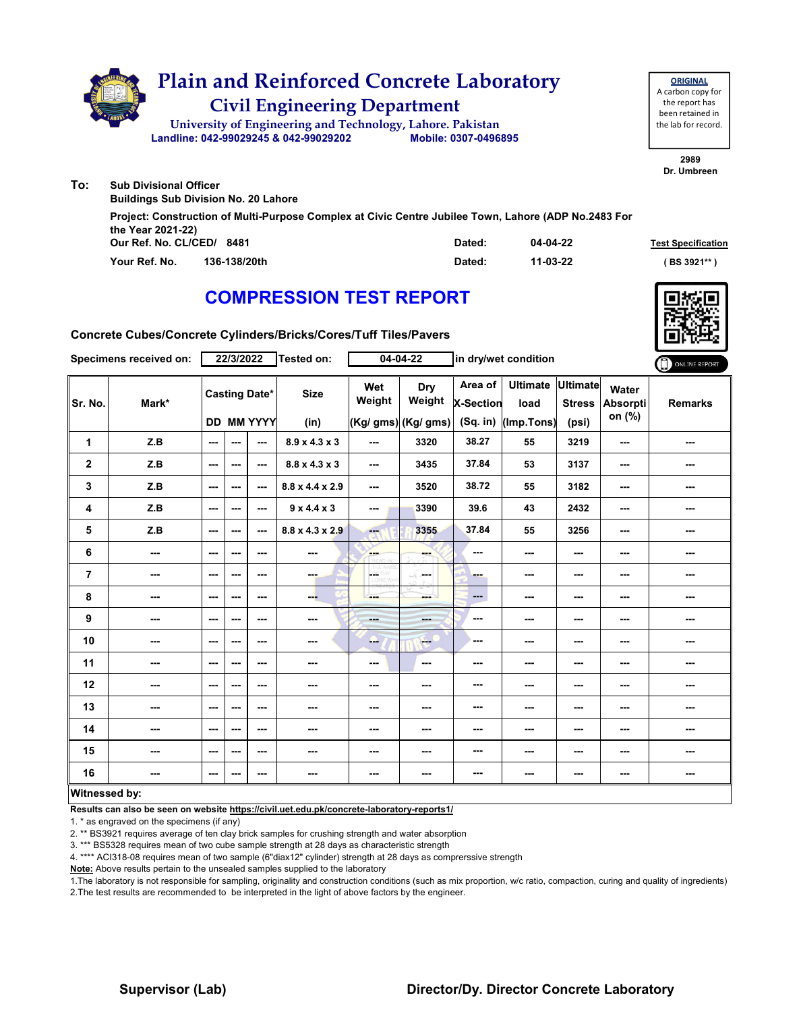

| the Year 2021-22)             |        |          |                           |
|-------------------------------|--------|----------|---------------------------|
| Our Ref. No. CL/CED/ 8481     | Dated: | 04-04-22 | <b>Test Specification</b> |
| Your Ref. No.<br>136-138/20th | Dated: | 11-03-22 | ( BS 3921**               |

### **COMPRESSION TEST REPORT**



**Concrete Cubes/Concrete Cylinders/Bricks/Cores/Tuff Tiles/Pavers**

|                | Specimens received on:   |                          | 22/3/2022                |                                           | Tested on:                  |                      | $04 - 04 - 22$                       | in dry/wet condition                    |                                       |                                           |                             | ONLINE REPORT  |
|----------------|--------------------------|--------------------------|--------------------------|-------------------------------------------|-----------------------------|----------------------|--------------------------------------|-----------------------------------------|---------------------------------------|-------------------------------------------|-----------------------------|----------------|
| Sr. No.        | Mark*                    |                          |                          | <b>Casting Date*</b><br><b>DD MM YYYY</b> | <b>Size</b><br>(in)         | Wet<br>Weight        | Dry<br>Weight<br>(Kg/ gms) (Kg/ gms) | Area of<br><b>X-Section</b><br>(Sq. in) | <b>Ultimate</b><br>load<br>(Imp.Tons) | <b>Ultimate</b><br><b>Stress</b><br>(psi) | Water<br>Absorpti<br>on (%) | <b>Remarks</b> |
| $\mathbf{1}$   | Z.B                      | $\overline{\phantom{a}}$ | ---                      | $\overline{\phantom{a}}$                  | $8.9 \times 4.3 \times 3$   | ---                  | 3320                                 | 38.27                                   | 55                                    | 3219                                      | ---                         | ---            |
| $\mathbf{2}$   | Z.B                      | $\sim$ $\sim$            | ---                      | $\sim$ $\sim$                             | $8.8 \times 4.3 \times 3$   | $\sim$ $\sim$        | 3435                                 | 37.84                                   | 53                                    | 3137                                      | $\sim$                      | ---            |
| 3              | Z.B                      | $\sim$ $\sim$            | $-$                      | $\sim$ $\sim$                             | $8.8 \times 4.4 \times 2.9$ | $\sim$               | 3520                                 | 38.72                                   | 55                                    | 3182                                      | $\overline{\phantom{a}}$    | ---            |
| 4              | Z.B                      | $\sim$ $\sim$            | $\overline{\phantom{a}}$ | $\sim$ $\sim$                             | $9 \times 4.4 \times 3$     | ---                  | 3390                                 | 39.6                                    | 43                                    | 2432                                      | $\sim$                      | ---            |
| 5              | Z.B                      | $\sim$ $\sim$            | ---                      | $\sim$ $\sim$                             | $8.8 \times 4.3 \times 2.9$ | <b>Fax</b>           | 3355                                 | 37.84                                   | 55                                    | 3256                                      | $\overline{\phantom{a}}$    |                |
| 6              | ---                      | $\qquad \qquad \cdots$   | ---                      | $\sim$ $\sim$                             | ---                         | <b>SHOP</b>          |                                      | ---                                     | ---                                   | $--$                                      | ---                         |                |
| $\overline{7}$ | ---                      | $\sim$ $\sim$            | ---                      | $\sim$ $\sim$                             | ---                         | LGS.<br><b>D.WFR</b> | -F.<br>in mar                        | --                                      | $--$                                  | $\sim$ $\sim$                             | $\overline{\phantom{a}}$    | ---            |
| 8              | ---                      | $\sim$ $\sim$            | ---                      | ---                                       | ---                         | ---                  | ment i                               | $\qquad \qquad \cdots$                  | ---                                   | ---                                       | ---                         | ---            |
| 9              | ---                      | $\sim$                   | $\overline{\phantom{a}}$ | $\sim$ $\sim$                             | ---                         | $- - -$              | ---                                  | ---                                     | ---                                   | $--$                                      | ---                         | ---            |
| 10             | $\overline{\phantom{a}}$ | $\sim$ $\sim$            | ---                      | $\sim$ $\sim$                             | $- - -$                     | ---                  | $-1$                                 | ---                                     | ---                                   | $\sim$                                    | ---                         | ---            |
| 11             | $\overline{\phantom{a}}$ | $\sim$ $\sim$            | ---                      | $\sim$ $\sim$                             | ---                         | ---                  | $\overline{\phantom{a}}$             | ---                                     | ---                                   | ---                                       | ---                         | ---            |
| 12             | ---                      | $\sim$ $\sim$            | ---                      | $\sim$ $\sim$                             | ---                         | ---                  | ---                                  | ---                                     | ---                                   | ---                                       | ---                         | ---            |
| 13             | $\sim$                   | $\sim$ $\sim$            | ---                      | $- - -$                                   | $\sim$ $\sim$               | ---                  | ---                                  | ---                                     | ---                                   | $\sim$ $\sim$                             | ---                         | ---            |
| 14             | $\overline{\phantom{a}}$ | $\sim$ $\sim$            | ---                      | $\sim$ $\sim$                             | ---                         | ---                  | ---                                  | ---                                     | ---                                   | $--$                                      | ---                         | ---            |
| 15             | ---                      | $\sim$                   | ---                      | $\sim$                                    | ---                         | ---                  | ---                                  | ---                                     | ---                                   | ---                                       | ---                         | ---            |
| 16             | $\sim$ $\sim$            | $\sim$ $\sim$            | ---                      | $- - -$                                   | $- - -$                     | ---                  | ---                                  | ---                                     | ---                                   | $- - -$                                   | ---                         | ---            |
| Witnessed by:  |                          |                          |                          |                                           |                             |                      |                                      |                                         |                                       |                                           |                             |                |

**Results can also be seen on website https://civil.uet.edu.pk/concrete-laboratory-reports1/**

1. \* as engraved on the specimens (if any)

2. \*\* BS3921 requires average of ten clay brick samples for crushing strength and water absorption

3. \*\*\* BS5328 requires mean of two cube sample strength at 28 days as characteristic strength

4. \*\*\*\* ACI318-08 requires mean of two sample (6"diax12" cylinder) strength at 28 days as comprerssive strength

**Note:** Above results pertain to the unsealed samples supplied to the laboratory

1.The laboratory is not responsible for sampling, originality and construction conditions (such as mix proportion, w/c ratio, compaction, curing and quality of ingredients) 2.The test results are recommended to be interpreted in the light of above factors by the engineer.

### **Supervisor (Lab) Director/Dy. Director Concrete Laboratory**